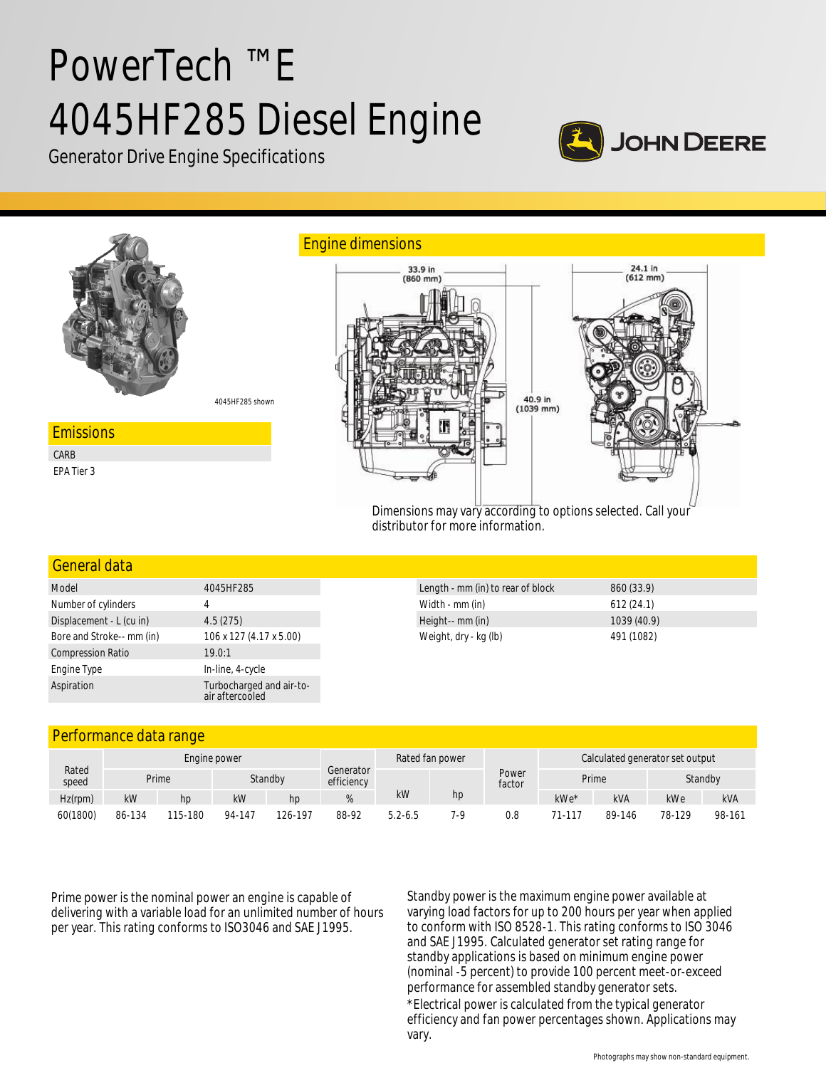# PowerTech ™ E 4045HF285 Diesel Engine



Generator Drive Engine Specifications



# General data

| Model                     | 4045HF285                                   |  |  |  |  |
|---------------------------|---------------------------------------------|--|--|--|--|
| Number of cylinders       | 4                                           |  |  |  |  |
| Displacement - L (cu in)  | 4.5(275)                                    |  |  |  |  |
| Bore and Stroke-- mm (in) | 106 x 127 (4.17 x 5.00)                     |  |  |  |  |
| <b>Compression Ratio</b>  | 19.0:1                                      |  |  |  |  |
| Engine Type               | In-line, 4-cycle                            |  |  |  |  |
| Aspiration                | Turbocharged and air-to-<br>air aftercooled |  |  |  |  |

| Length - mm (in) to rear of block | 860 (33.9)  |  |
|-----------------------------------|-------------|--|
| Width - mm (in)                   | 612(24.1)   |  |
| Height-- mm (in)                  | 1039 (40.9) |  |
| Weight, dry - kg (lb)             | 491 (1082)  |  |

# Performance data range

|                | Engine power |         |         |         |                         | Rated fan power |     |                 | Calculated generator set output |            |         |            |
|----------------|--------------|---------|---------|---------|-------------------------|-----------------|-----|-----------------|---------------------------------|------------|---------|------------|
| Rated<br>speed |              | Prime   | Standby |         | Generator<br>efficiency |                 |     | Power<br>factor | Prime                           |            | Standby |            |
| $Hz$ (rpm)     | kW           | hp      | kW      | hp      |                         | kW              | hp  |                 | kWe*                            | <b>kVA</b> | kWe     | <b>kVA</b> |
| 60(1800)       | 86-134       | 115-180 | 94-147  | 126-197 | 88-92                   | $5.2 - 6.5$     | 7-9 | 0.8             | 71-117                          | 89-146     | 78-129  | 98-161     |

Prime power is the nominal power an engine is capable of delivering with a variable load for an unlimited number of hours per year. This rating conforms to ISO3046 and SAE J1995.

Standby power is the maximum engine power available at varying load factors for up to 200 hours per year when applied to conform with ISO 8528-1. This rating conforms to ISO 3046 and SAE J1995. Calculated generator set rating range for standby applications is based on minimum engine power (nominal -5 percent) to provide 100 percent meet-or-exceed performance for assembled standby generator sets. \*Electrical power is calculated from the typical generator efficiency and fan power percentages shown. Applications may vary.